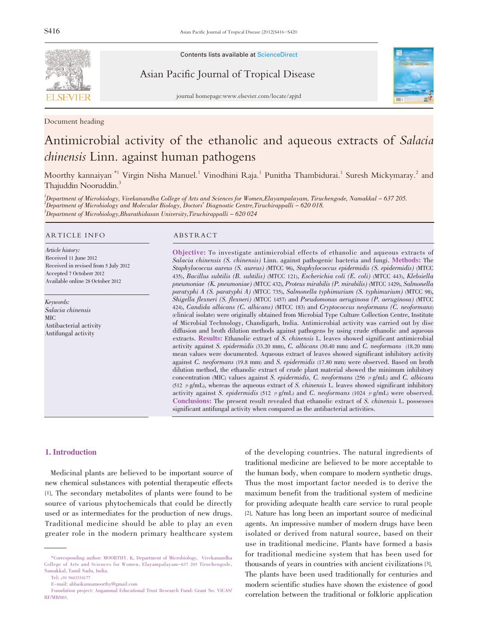

Contents lists available at ScienceDirect

Asian Pacific Journal of Tropical Disease



journal homepage:www.elsevier.com/locate/apjtd

Document heading

# Antimicrobial activity of the ethanolic and aqueous extracts of Salacia chinensis Linn. against human pathogens

Moorthy kannaiyan<sup>\*1</sup> Virgin Nisha Manuel.<sup>1</sup> Vinodhini Raja.<sup>1</sup> Punitha Thambidurai.<sup>1</sup> Suresh Mickymaray.<sup>2</sup> and Thajuddin Nooruddin.<sup>3</sup>

1 Department of Microbiology, Vivekanandha College of Arts and Sciences for Women,Elayampalayam, Tiruchengode, Namakkal - 637 205. 2 Department of Microbiology and Molecular Biology, Doctors' Diagnostic Centre,Tiruchirappalli - 620 018.  $^3$ Department of Microbiology,Bharathidasan University,Tiruchirappalli – 620 024

#### ARTICLE INFO ABSTRACT

Article history: Received 11 June 2012 Received in revised from 5 July 2012 Accepted 7 Octoberr 2012 Available online 28 October 2012

Keywords: Salacia chinensis MIC Antibacterial activity Antifungal activity

Objective: To investigate antimicrobial effects of ethanolic and aqueous extracts of Salacia chinensis (S. chinensis) Linn. against pathogenic bacteria and fungi. Methods: The Staphylococcus aureus (S. aureus) (MTCC 96), Staphylococcus epidermidis (S. epidermidis) (MTCC 435), Bacillus subtilis (B. subtilis) (MTCC 121), Escherichia coli (E. coli) (MTCC 443), Klebsiella pneumoniae (K. pneumoniae) (MTCC 432), Proteus mirabilis (P. mirabilis) (MTCC 1429), Salmonella paratyphi A (S. paratyphi A) (MTCC 735), Salmonella typhimurium (S. typhimurium) (MTCC 98), Shigella flexneri (S. flexneri) (MTCC 1457) and Pseudomonas aeruginosa (P. aeruginosa) (MTCC 424), Candida albicans (C. albicans) (MTCC 183) and Cryptococcus neoformans (C. neoformans) (clinical isolate) were originally obtained from Microbial Type Culture Collection Centre, Institute of Microbial Technology, Chandigarh, India. Antimicrobial activity was carried out by disc diffusion and broth dilution methods against pathogens by using crude ethanolic and aqueous extracts. Results: Ethanolic extract of S. chinensis L. leaves showed significant antimicrobial activity against S. epidermidis (33.20 mm), C. albicans (30.40 mm) and C. neoformans (18.20 mm) mean values were documented. Aqueous extract of leaves showed significant inhibitory activity against C. neoformans (19.8 mm) and S. epidermidis (17.80 mm) were observed. Based on broth dilution method, the ethanolic extract of crude plant material showed the minimum inhibitory concentration (MIC) values against S. epidermidis, C. neoformans (256  $\mu$  g/mL) and C. albicans (512  $\mu$  g/mL), whereas the aqueous extract of S. chinensis L. leaves showed significant inhibitory activity against S. epidermidis (512  $\mu$  g/mL) and C. neoformans (1024  $\mu$  g/mL) were observed. Conclusions: The present result revealed that ethanolic extract of S. *chinensis* L. possesses significant antifungal activity when compared as the antibacterial activities.

#### 1. Introduction

Medicinal plants are believed to be important source of new chemical substances with potential therapeutic effects [1]. The secondary metabolites of plants were found to be source of various phytochemicals that could be directly used or as intermediates for the production of new drugs. Traditional medicine should be able to play an even greater role in the modern primary healthcare system

of the developing countries. The natural ingredients of traditional medicine are believed to be more acceptable to the human body, when compare to modern synthetic drugs. Thus the most important factor needed is to derive the maximum benefit from the traditional system of medicine for providing adequate health care service to rural people [2]. Nature has long been an important source of medicinal agents. An impressive number of modern drugs have been isolated or derived from natural source, based on their use in traditional medicine. Plants have formed a basis for traditional medicine system that has been used for thousands of years in countries with ancient civilizations [3]. The plants have been used traditionally for centuries and modern scientific studies have shown the existence of good correlation between the traditional or folkloric application

<sup>\*</sup>Corresponding author: MOORTHY. K, Department of Microbiology, Vivekanandha College of Arts and Sciences for Women, Elayampalayam-637 205 Tiruchengode, Namakkal, Tamil Nadu, India.

Tel: +91 9443334177

E-mail: abbaikannamoorthy@gmail.com

Foundation project: Angammal Educational Trust Research Fund: Grant No. VICAS/ RF/MB/003.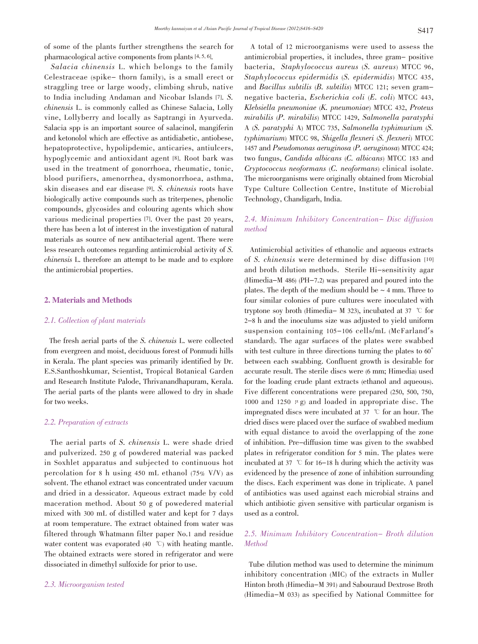of some of the plants further strengthens the search for pharmacological active components from plants [4, 5, 6].

 Salacia chinensis L. which belongs to the family Celestraceae (spike- thorn family), is a small erect or straggling tree or large woody, climbing shrub, native to India including Andaman and Nicobar Islands [7]. S. chinensis L. is commonly called as Chinese Salacia, Lolly vine, Lollyberry and locally as Saptrangi in Ayurveda. Salacia spp is an important source of salacinol, mangiferin and ketonolol which are effective as antidiabetic, antiobese, hepatoprotective, hypolipdemic, anticaries, antiulcers, hypoglycemic and antioxidant agent [8]. Root bark was used in the treatment of gonorrhoea, rheumatic, tonic, blood purifiers, amenorrhea, dysmonorrhoea, asthma, skin diseases and ear disease [9]. S. chinensis roots have biologically active compounds such as triterpenes, phenolic compounds, glycosides and colouring agents which show various medicinal properties [7]. Over the past 20 years, there has been a lot of interest in the investigation of natural materials as source of new antibacterial agent. There were less research outcomes regarding antimicrobial activity of S. chinensis L. therefore an attempt to be made and to explore the antimicrobial properties.

#### 2. Materials and Methods

### 2.1. Collection of plant materials

The fresh aerial parts of the S. chinensis L. were collected from evergreen and moist, deciduous forest of Ponmudi hills in Kerala. The plant species was primarily identified by Dr. E.S.Santhoshkumar, Scientist, Tropical Botanical Garden and Research Institute Palode, Thrivanandhapuram, Kerala. The aerial parts of the plants were allowed to dry in shade for two weeks.

#### 2.2. Preparation of extracts

The aerial parts of S. chinensis L. were shade dried and pulverized. 250 g of powdered material was packed in Soxhlet apparatus and subjected to continuous hot percolation for 8 h using 450 mL ethanol (75% V/V) as solvent. The ethanol extract was concentrated under vacuum and dried in a dessicator. Aqueous extract made by cold maceration method. About 50 g of powedered material mixed with 300 mL of distilled water and kept for 7 days at room temperature. The extract obtained from water was filtered through Whatmann filter paper No.1 and residue water content was evaporated  $(40\degree\text{C})$  with heating mantle. The obtained extracts were stored in refrigerator and were dissociated in dimethyl sulfoxide for prior to use.

#### 2.3. Microorganism tested

A total of 12 microorganisms were used to assess the antimicrobial properties, it includes, three gram- positive bacteria, Staphylococcus aureus (S. aureus) MTCC 96, Staphylococcus epidermidis (S. epidermidis) MTCC 435, and Bacillus subtilis (B. subtilis) MTCC 121; seven gramnegative bacteria, Escherichia coli (E. coli) MTCC 443, Klebsiella pneumoniae (K. pneumoniae) MTCC 432, Proteus mirabilis (P. mirabilis) MTCC 1429, Salmonella paratyphi A (S. paratyphi A) MTCC 735, Salmonella typhimurium (S. typhimurium) MTCC 98, Shigella flexneri (S. flexneri) MTCC <sup>1457</sup> and Pseudomonas aeruginosa (P. aeruginosa) MTCC 424; two fungus, Candida albicans (C. albicans) MTCC <sup>183</sup> and Cryptococcus neoformans (C. neoformans) clinical isolate. The microorganisms were originally obtained from Microbial Type Culture Collection Centre, Institute of Microbial Technology, Chandigarh, India.

## 2.4. Minimum Inhibitory Concentration- Disc diffusion method

Antimicrobial activities of ethanolic and aqueous extracts of S. chinensis were determined by disc diffusion [10] and broth dilution methods. Sterile Hi-sensitivity agar (Himedia-M 486) (PH-7.2) was prepared and poured into the plates. The depth of the medium should be  $\sim$  4 mm. Three to four similar colonies of pure cultures were inoculated with tryptone soy broth (Himedia– M 323), incubated at 37  $\degree$ C for 2-8 h and the inoculums size was adjusted to yield uniform suspension containing 105-106 cells/mL (McFarland's standard). The agar surfaces of the plates were swabbed with test culture in three directions turning the plates to  $60^\circ$ between each swabbing. Confluent growth is desirable for accurate result. The sterile discs were (6 mm; Himedia) used for the loading crude plant extracts (ethanol and aqueous). Five different concentrations were prepared (250, 500, 750, 1000 and 1250  $\mu$  g) and loaded in appropriate disc. The impregnated discs were incubated at  $37$  °C for an hour. The dried discs were placed over the surface of swabbed medium with equal distance to avoid the overlapping of the zone of inhibition. Pre-diffusion time was given to the swabbed plates in refrigerator condition for 5 min. The plates were incubated at 37  $\degree$  for 16-18 h during which the activity was evidenced by the presence of zone of inhibition surrounding the discs. Each experiment was done in triplicate. A panel of antibiotics was used against each microbial strains and which antibiotic given sensitive with particular organism is used as a control.

# 2.5. Minimum Inhibitory Concentration- Broth dilution Method

Tube dilution method was used to determine the minimum inhibitory concentration (MIC) of the extracts in Muller Hinton broth (Himedia-M 391) and Sabouraud Dextrose Broth (Himedia-M 033) as specified by National Committee for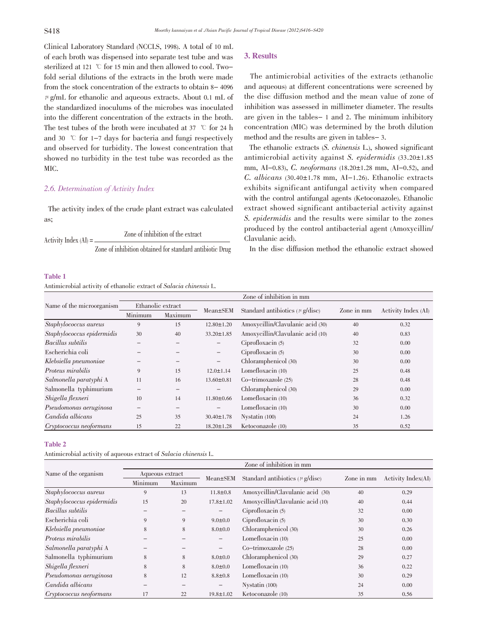Clinical Laboratory Standard (NCCLS, 1998). A total of 10 mL of each broth was dispensed into separate test tube and was sterilized at 121  $\degree$  for 15 min and then allowed to cool. Twofold serial dilutions of the extracts in the broth were made from the stock concentration of the extracts to obtain 8- 4096  $\mu$  g/mL for ethanolic and aqueous extracts. About 0.1 mL of the standardized inoculums of the microbes was inoculated into the different concentration of the extracts in the broth. The test tubes of the broth were incubated at 37  $\degree$ C for 24 h and 30  $\degree$  for 1-7 days for bacteria and fungi respectively and observed for turbidity. The lowest concentration that showed no turbidity in the test tube was recorded as the MIC.

#### 2.6. Determination of Activity Index

The activity index of the crude plant extract was calculated as;

 $\text{Activity Index}(\text{AI}) =$  Zone of inhibition of the extract Zone of inhibition obtained for standard antibiotic Drug

#### Table 1

Antimicrobial activity of ethanolic extract of Salacia chinensis L.

#### 3. Results

The antimicrobial activities of the extracts (ethanolic and aqueous) at different concentrations were screened by the disc diffusion method and the mean value of zone of inhibition was assessed in millimeter diameter. The results are given in the tables- 1 and 2. The minimum inhibitory concentration (MIC) was determined by the broth dilution method and the results are given in tables- 3.

The ethanolic extracts (S. chinensis L.), showed significant antimicrobial activity against S. epidermidis  $(33.20 \pm 1.85)$ mm, AI-0.83), C. neoformans  $(18.20 \pm 1.28 \text{ mm}, \text{Al}-0.52)$ , and C. albicans (30.40 $\pm$ 1.78 mm, AI-1.26). Ethanolic extracts exhibits significant antifungal activity when compared with the control antifungal agents (Ketoconazole). Ethanolic extract showed significant antibacterial activity against S. epidermidis and the results were similar to the zones produced by the control antibacterial agent (Amoxycillin/ Clavulanic acid).

In the disc diffusion method the ethanolic extract showed

|                            | Zone of inhibition in mm |         |                   |                                      |            |                     |  |  |  |
|----------------------------|--------------------------|---------|-------------------|--------------------------------------|------------|---------------------|--|--|--|
| Name of the microorganism  | Ethanolic extract        |         | Mean±SEM          | Standard antibiotics ( $\mu$ g/disc) | Zone in mm | Activity Index (AI) |  |  |  |
|                            | Minimum                  | Maximum |                   |                                      |            |                     |  |  |  |
| Staphylococcus aureus      | 9                        | 15      | $12.80 \pm 1.20$  | Amoxycillin/Clavulanic acid (30)     | 40         | 0.32                |  |  |  |
| Staphylococcus epidermidis | 30                       | 40      | $33.20 \pm 1.85$  | Amoxycillin/Clavulanic acid (10)     | 40         | 0.83                |  |  |  |
| Bacillus subtilis          |                          |         | $\qquad \qquad -$ | Ciprofloxacin $(5)$                  | 32         | 0.00                |  |  |  |
| Escherichia coli           |                          |         | -                 | Ciproflox (5)                        | 30         | 0.00                |  |  |  |
| Klebsiella pneumoniae      |                          |         | $\qquad \qquad -$ | Chloramphenicol (30)                 | 30         | 0.00                |  |  |  |
| Proteus mirabilis          | 9                        | 15      | $12.0 \pm 1.14$   | Lomefloxacin (10)                    | 25         | 0.48                |  |  |  |
| Salmonella paratyphi A     | 11                       | 16      | $13.60 \pm 0.81$  | $Co-trimoxazole(25)$                 | 28         | 0.48                |  |  |  |
| Salmonella typhimurium     |                          |         | $\qquad \qquad -$ | Chloramphenicol (30)                 | 29         | 0.00                |  |  |  |
| Shigella flexneri          | 10                       | 14      | $11.80 \pm 0.66$  | Lomefloxacin (10)                    | 36         | 0.32                |  |  |  |
| Pseudomonas aeruginosa     |                          | -       | $\qquad \qquad -$ | Lomefloxacin (10)                    | 30         | 0.00                |  |  |  |
| Candida albicans           | 25                       | 35      | $30.40 \pm 1.78$  | Nystatin (100)                       | 24         | 1.26                |  |  |  |
| Cryptococcus neoformans    | 15                       | 22      | $18.20 \pm 1.28$  | Ketoconazole (10)                    | 35         | 0.52                |  |  |  |

#### Table 2

Antimicrobial activity of aqueous extract of Salacia chinensis L.

|                            | Zone of inhibition in mm |         |                   |                                      |            |                    |  |  |  |  |
|----------------------------|--------------------------|---------|-------------------|--------------------------------------|------------|--------------------|--|--|--|--|
| Name of the organism       | Aqueous extract          |         | $Mean \pm SEM$    | Standard antibiotics ( $\mu$ g/disc) | Zone in mm |                    |  |  |  |  |
|                            | Minimum                  | Maximum |                   |                                      |            | Activity Index(AI) |  |  |  |  |
| Staphylococcus aureus      | 9                        | 13      | $11.8 \pm 0.8$    | Amoxycillin/Clavulanic acid (30)     | 40         | 0.29               |  |  |  |  |
| Staphylococcus epidermidis | 15                       | 20      | $17.8 \pm 1.02$   | Amoxycillin/Clavulanic acid (10)     | 40         | 0.44               |  |  |  |  |
| Bacillus subtilis          |                          |         | $\qquad \qquad -$ | Ciproflox (5)                        | 32         | 0.00               |  |  |  |  |
| Escherichia coli           | 9                        | 9       | $9.0 \pm 0.0$     | Ciproflox (5)                        | 30         | 0.30               |  |  |  |  |
| Klebsiella pneumoniae      | 8                        | 8       | $8.0 \pm 0.0$     | Chloramphenicol (30)                 | 30         | 0.26               |  |  |  |  |
| Proteus mirabilis          |                          |         | $\qquad \qquad -$ | Lomefloxacin (10)                    | 25         | 0.00               |  |  |  |  |
| Salmonella paratyphi A     |                          |         | $\qquad \qquad -$ | $Co-trimoxazole(25)$                 | 28         | 0.00               |  |  |  |  |
| Salmonella typhimurium     | 8                        | 8       | $8.0 \pm 0.0$     | Chloramphenicol (30)                 | 29         | 0.27               |  |  |  |  |
| Shigella flexneri          | 8                        | 8       | $8.0 \pm 0.0$     | Lomefloxacin (10)                    | 36         | 0.22               |  |  |  |  |
| Pseudomonas aeruginosa     | 8                        | 12      | $8.8 \pm 0.8$     | Lomefloxacin (10)                    | 30         | 0.29               |  |  |  |  |
| Candida albicans           |                          |         | -                 | Nystatin (100)                       | 24         | 0.00               |  |  |  |  |
| Cryptococcus neoformans    | 17                       | 22      | $19.8 \pm 1.02$   | Ketoconazole (10)                    | 35         | 0.56               |  |  |  |  |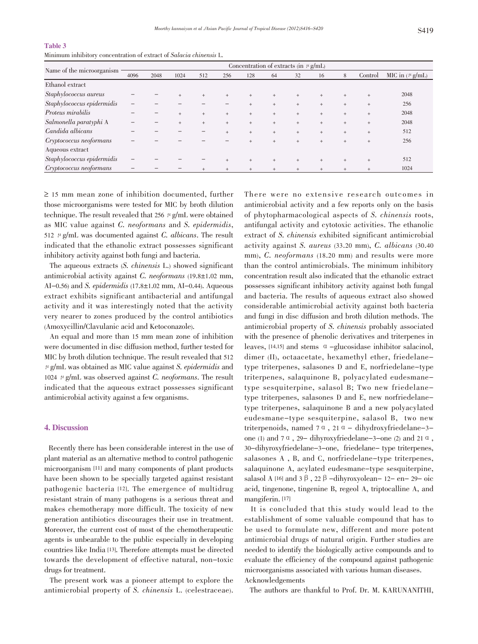#### Table 3

Minimum inhibitory concentration of extract of Salacia chinensis L.

| Name of the microorganism  | Concentration of extracts (in $\mu$ g/mL) |      |      |        |        |     |        |        |     |        |         |                     |
|----------------------------|-------------------------------------------|------|------|--------|--------|-----|--------|--------|-----|--------|---------|---------------------|
|                            | 4096                                      | 2048 | 1024 | 512    | 256    | 128 | 64     | 32     | 16  | 8      | Control | MIC in $(\mu g/mL)$ |
| Ethanol extract            |                                           |      |      |        |        |     |        |        |     |        |         |                     |
| Staphylococcus aureus      |                                           |      | $+$  | $+$    |        | $+$ | $+$    | $+$    |     | $^{+}$ | $+$     | 2048                |
| Staphylococcus epidermidis |                                           |      |      |        |        | $+$ | $+$    | $+$    | $+$ | $+$    | $+$     | 256                 |
| Proteus mirabilis          |                                           |      | $+$  | $+$    | $^{+}$ | $+$ | $+$    | $+$    | $+$ | $+$    | $+$     | 2048                |
| Salmonella paratyphi A     |                                           |      | $+$  | $+$    | $+$    | $+$ | $+$    | $+$    | $+$ | $+$    | $+$     | 2048                |
| Candida albicans           |                                           |      |      |        |        | $+$ | $+$    | $+$    | $+$ | $+$    | $+$     | 512                 |
| Cryptococcus neoformans    |                                           |      |      |        |        | $+$ | $+$    | $^{+}$ |     | $^{+}$ | $+$     | 256                 |
| Aqueous extract            |                                           |      |      |        |        |     |        |        |     |        |         |                     |
| Staphylococcus epidermidis |                                           |      |      |        | $^{+}$ | $+$ | $+$    | $^{+}$ | $+$ | $^{+}$ | $^{+}$  | 512                 |
| Cryptococcus neoformans    |                                           |      |      | $^{+}$ |        | $+$ | $^{+}$ | $^{+}$ |     |        | $^{+}$  | 1024                |

≥ <sup>15</sup> mm mean zone of inhibition documented, further those microorganisms were tested for MIC by broth dilution technique. The result revealed that 256  $\mu$  g/mL were obtained as MIC value against C. neoformans and S. epidermidis, 512  $\mu$  g/mL was documented against *C. albicans*. The result indicated that the ethanolic extract possesses significant inhibitory activity against both fungi and bacteria.

The aqueous extracts (S. chinensis L.) showed significant antimicrobial activity against  $C.$  neoformans (19.8 $\pm$ 1.02 mm, AI-0.56) and S. epidermidis  $(17.8 \pm 1.02 \text{ mm}, \text{Al}-0.44)$ . Aqueous extract exhibits significant antibacterial and antifungal activity and it was interestingly noted that the activity very nearer to zones produced by the control antibiotics (Amoxycillin/Clavulanic acid and Ketoconazole).

An equal and more than 15 mm mean zone of inhibition were documented in disc diffusion method, further tested for MIC by broth dilution technique. The result revealed that 512  $\mu$  g/mL was obtained as MIC value against S. epidermidis and 1024  $\mu$  g/mL was observed against C. neoformans. The result indicated that the aqueous extract possesses significant antimicrobial activity against a few organisms.

#### 4. Discussion

Recently there has been considerable interest in the use of plant material as an alternative method to control pathogenic microorganism [11] and many components of plant products have been shown to be specially targeted against resistant pathogenic bacteria [12]. The emergence of multidrug resistant strain of many pathogens is a serious threat and makes chemotherapy more difficult. The toxicity of new generation antibiotics discourages their use in treatment. Moreover, the current cost of most of the chemotherapeutic agents is unbearable to the public especially in developing countries like India [13]. Therefore attempts must be directed towards the development of effective natural, non-toxic drugs for treatment.

The present work was a pioneer attempt to explore the antimicrobial property of S. chinensis L. (celestraceae).

There were no extensive research outcomes in antimicrobial activity and a few reports only on the basis of phytopharmacological aspects of S. chinensis roots, antifungal activity and cytotoxic activities. The ethanolic extract of S. chinensis exhibited significant antimicrobial activity against S. aureus (33.20 mm), C. albicans (30.40 mm), C. neoformans (18.20 mm) and results were more than the control antimicrobials. The minimum inhibitory concentration result also indicated that the ethanolic extract possesses significant inhibitory activity against both fungal and bacteria. The results of aqueous extract also showed considerable antimicrobial activity against both bacteria and fungi in disc diffusion and broth dilution methods. The antimicrobial property of S. chinensis probably associated with the presence of phenolic derivatives and triterpenes in leaves,  $[14,15]$  and stems  $\alpha$  -glucosidase inhibitor salacinol, dimer (II), octaacetate, hexamethyl ether, friedelanetype triterpenes, salasones D and E, norfriedelane-type triterpenes, salaquinone B, polyacylated eudesmanetype sesquiterpine, salasol B; Two new friedelanetype triterpenes, salasones D and E, new norfriedelanetype triterpenes, salaquinone B and a new polyacylated eudesmane-type sesquiterpine, salasol B, two new triterpenoids, named  $7 \alpha$ ,  $21 \alpha$  – dihydroxyfriedelane-3one (1) and  $7 \alpha$ , 29- dihyroxyfriedelane-3-one (2) and 21  $\alpha$ , 30-dihyroxyfriedelane-3-one, friedelane- type triterpenes, salasones A , B, and C, norfriedelane-type triterpenes, salaquinone A, acylated eudesmane-type sesquiterpine, salasol A  $[16]$  and 3  $\beta$ , 22  $\beta$  -dihyroxyolean- 12- en- 29- oic acid, tingenone, tingenine B, regeol A, triptocalline A, and mangiferin. [17]

It is concluded that this study would lead to the establishment of some valuable compound that has to be used to formulate new, different and more potent antimicrobial drugs of natural origin. Further studies are needed to identify the biologically active compounds and to evaluate the efficiency of the compound against pathogenic microorganisms associated with various human diseases.

#### Acknowledgements

The authors are thankful to Prof. Dr. M. KARUNANITHI,